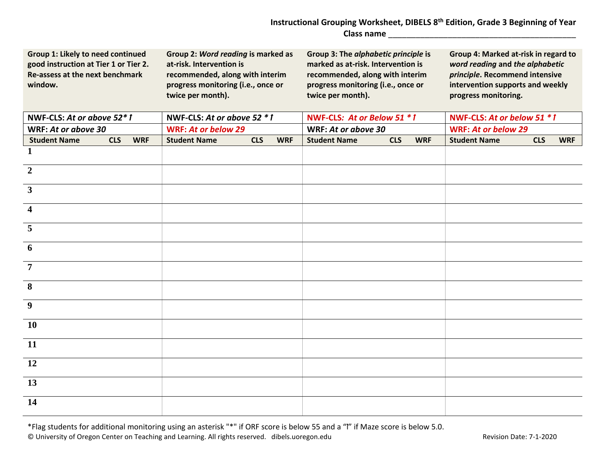## **Instructional Grouping Worksheet, DIBELS 8th Edition, Grade 3 Beginning of Year Class name** \_\_\_\_\_\_\_\_\_\_\_\_\_\_\_\_\_\_\_\_\_\_\_\_\_\_\_\_\_\_\_\_\_\_\_\_\_\_\_\_\_

| Group 1: Likely to need continued<br>good instruction at Tier 1 or Tier 2.<br>Re-assess at the next benchmark<br>window. |            |            | Group 2: Word reading is marked as<br>at-risk. Intervention is<br>recommended, along with interim<br>progress monitoring (i.e., once or<br>twice per month). |            |            |                             | Group 3: The alphabetic principle is<br>marked as at-risk. Intervention is<br>recommended, along with interim<br>progress monitoring (i.e., once or<br>twice per month). |            |                              | Group 4: Marked at-risk in regard to<br>word reading and the alphabetic<br>principle. Recommend intensive<br>intervention supports and weekly<br>progress monitoring. |            |            |
|--------------------------------------------------------------------------------------------------------------------------|------------|------------|--------------------------------------------------------------------------------------------------------------------------------------------------------------|------------|------------|-----------------------------|--------------------------------------------------------------------------------------------------------------------------------------------------------------------------|------------|------------------------------|-----------------------------------------------------------------------------------------------------------------------------------------------------------------------|------------|------------|
| NWF-CLS: At or above 52*1                                                                                                |            |            | NWF-CLS: At or above 52 $*1$                                                                                                                                 |            |            | NWF-CLS: At or Below 51 * 1 |                                                                                                                                                                          |            | NWF-CLS: At or below 51 $*1$ |                                                                                                                                                                       |            |            |
| WRF: At or above 30                                                                                                      |            |            | <b>WRF: At or below 29</b>                                                                                                                                   |            |            |                             | WRF: At or above 30                                                                                                                                                      |            |                              | <b>WRF: At or below 29</b>                                                                                                                                            |            |            |
| <b>Student Name</b>                                                                                                      | <b>CLS</b> | <b>WRF</b> | <b>Student Name</b>                                                                                                                                          | <b>CLS</b> | <b>WRF</b> |                             | <b>Student Name</b>                                                                                                                                                      | <b>CLS</b> | <b>WRF</b>                   | <b>Student Name</b>                                                                                                                                                   | <b>CLS</b> | <b>WRF</b> |
| 1                                                                                                                        |            |            |                                                                                                                                                              |            |            |                             |                                                                                                                                                                          |            |                              |                                                                                                                                                                       |            |            |
| $\boldsymbol{2}$                                                                                                         |            |            |                                                                                                                                                              |            |            |                             |                                                                                                                                                                          |            |                              |                                                                                                                                                                       |            |            |
| $\overline{\mathbf{3}}$                                                                                                  |            |            |                                                                                                                                                              |            |            |                             |                                                                                                                                                                          |            |                              |                                                                                                                                                                       |            |            |
| $\overline{\mathbf{4}}$                                                                                                  |            |            |                                                                                                                                                              |            |            |                             |                                                                                                                                                                          |            |                              |                                                                                                                                                                       |            |            |
| 5                                                                                                                        |            |            |                                                                                                                                                              |            |            |                             |                                                                                                                                                                          |            |                              |                                                                                                                                                                       |            |            |
| 6                                                                                                                        |            |            |                                                                                                                                                              |            |            |                             |                                                                                                                                                                          |            |                              |                                                                                                                                                                       |            |            |
| $\overline{7}$                                                                                                           |            |            |                                                                                                                                                              |            |            |                             |                                                                                                                                                                          |            |                              |                                                                                                                                                                       |            |            |
| 8                                                                                                                        |            |            |                                                                                                                                                              |            |            |                             |                                                                                                                                                                          |            |                              |                                                                                                                                                                       |            |            |
| 9                                                                                                                        |            |            |                                                                                                                                                              |            |            |                             |                                                                                                                                                                          |            |                              |                                                                                                                                                                       |            |            |
| <b>10</b>                                                                                                                |            |            |                                                                                                                                                              |            |            |                             |                                                                                                                                                                          |            |                              |                                                                                                                                                                       |            |            |
| 11                                                                                                                       |            |            |                                                                                                                                                              |            |            |                             |                                                                                                                                                                          |            |                              |                                                                                                                                                                       |            |            |
| <b>12</b>                                                                                                                |            |            |                                                                                                                                                              |            |            |                             |                                                                                                                                                                          |            |                              |                                                                                                                                                                       |            |            |
| 13                                                                                                                       |            |            |                                                                                                                                                              |            |            |                             |                                                                                                                                                                          |            |                              |                                                                                                                                                                       |            |            |
| 14                                                                                                                       |            |            |                                                                                                                                                              |            |            |                             |                                                                                                                                                                          |            |                              |                                                                                                                                                                       |            |            |

\*Flag students for additional monitoring using an asterisk "\*" if ORF score is below 55 and a "ꝉ" if Maze score is below 5.0. © University of Oregon Center on Teaching and Learning. All rights reserved. dibels.uoregon.edu Revision Date: 7-1-2020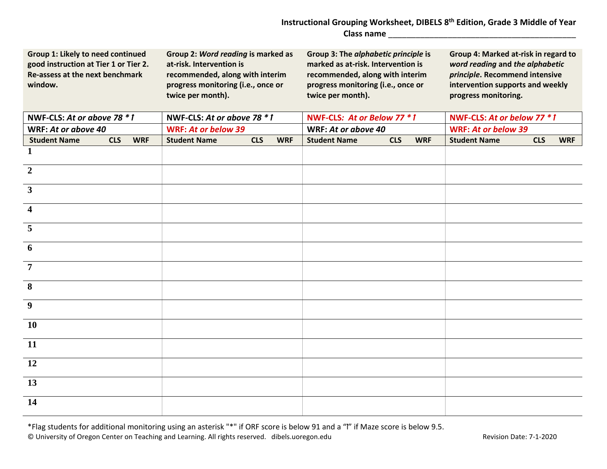## **Instructional Grouping Worksheet, DIBELS 8th Edition, Grade 3 Middle of Year Class name** \_\_\_\_\_\_\_\_\_\_\_\_\_\_\_\_\_\_\_\_\_\_\_\_\_\_\_\_\_\_\_\_\_\_\_\_\_\_\_\_\_

| Group 1: Likely to need continued<br>good instruction at Tier 1 or Tier 2.<br>Re-assess at the next benchmark<br>window. |            |            | Group 2: Word reading is marked as<br>at-risk. Intervention is<br>recommended, along with interim<br>progress monitoring (i.e., once or<br>twice per month). |            |            | Group 3: The alphabetic principle is<br>marked as at-risk. Intervention is<br>recommended, along with interim<br>progress monitoring (i.e., once or<br>twice per month). |            |            | Group 4: Marked at-risk in regard to<br>word reading and the alphabetic<br>principle. Recommend intensive<br>intervention supports and weekly<br>progress monitoring. |            |            |
|--------------------------------------------------------------------------------------------------------------------------|------------|------------|--------------------------------------------------------------------------------------------------------------------------------------------------------------|------------|------------|--------------------------------------------------------------------------------------------------------------------------------------------------------------------------|------------|------------|-----------------------------------------------------------------------------------------------------------------------------------------------------------------------|------------|------------|
| NWF-CLS: At or above 78 $*$ f                                                                                            |            |            | NWF-CLS: At or above 78 * 1                                                                                                                                  |            |            | NWF-CLS: At or Below 77 * 1                                                                                                                                              |            |            | NWF-CLS: At or below 77 $*1$                                                                                                                                          |            |            |
| WRF: At or above 40                                                                                                      |            |            | <b>WRF: At or below 39</b>                                                                                                                                   |            |            | WRF: At or above 40                                                                                                                                                      |            |            | <b>WRF: At or below 39</b>                                                                                                                                            |            |            |
| <b>Student Name</b>                                                                                                      | <b>CLS</b> | <b>WRF</b> | <b>Student Name</b>                                                                                                                                          | <b>CLS</b> | <b>WRF</b> | <b>Student Name</b>                                                                                                                                                      | <b>CLS</b> | <b>WRF</b> | <b>Student Name</b>                                                                                                                                                   | <b>CLS</b> | <b>WRF</b> |
| 1                                                                                                                        |            |            |                                                                                                                                                              |            |            |                                                                                                                                                                          |            |            |                                                                                                                                                                       |            |            |
| $\boldsymbol{2}$                                                                                                         |            |            |                                                                                                                                                              |            |            |                                                                                                                                                                          |            |            |                                                                                                                                                                       |            |            |
| $\mathbf{3}$                                                                                                             |            |            |                                                                                                                                                              |            |            |                                                                                                                                                                          |            |            |                                                                                                                                                                       |            |            |
| $\overline{\mathbf{4}}$                                                                                                  |            |            |                                                                                                                                                              |            |            |                                                                                                                                                                          |            |            |                                                                                                                                                                       |            |            |
| $\overline{5}$                                                                                                           |            |            |                                                                                                                                                              |            |            |                                                                                                                                                                          |            |            |                                                                                                                                                                       |            |            |
| 6                                                                                                                        |            |            |                                                                                                                                                              |            |            |                                                                                                                                                                          |            |            |                                                                                                                                                                       |            |            |
| $\overline{7}$                                                                                                           |            |            |                                                                                                                                                              |            |            |                                                                                                                                                                          |            |            |                                                                                                                                                                       |            |            |
| 8                                                                                                                        |            |            |                                                                                                                                                              |            |            |                                                                                                                                                                          |            |            |                                                                                                                                                                       |            |            |
| $\overline{9}$                                                                                                           |            |            |                                                                                                                                                              |            |            |                                                                                                                                                                          |            |            |                                                                                                                                                                       |            |            |
| <b>10</b>                                                                                                                |            |            |                                                                                                                                                              |            |            |                                                                                                                                                                          |            |            |                                                                                                                                                                       |            |            |
| 11                                                                                                                       |            |            |                                                                                                                                                              |            |            |                                                                                                                                                                          |            |            |                                                                                                                                                                       |            |            |
| 12                                                                                                                       |            |            |                                                                                                                                                              |            |            |                                                                                                                                                                          |            |            |                                                                                                                                                                       |            |            |
| 13                                                                                                                       |            |            |                                                                                                                                                              |            |            |                                                                                                                                                                          |            |            |                                                                                                                                                                       |            |            |
| 14                                                                                                                       |            |            |                                                                                                                                                              |            |            |                                                                                                                                                                          |            |            |                                                                                                                                                                       |            |            |

\*Flag students for additional monitoring using an asterisk "\*" if ORF score is below 91 and a "ꝉ" if Maze score is below 9.5. © University of Oregon Center on Teaching and Learning. All rights reserved. dibels.uoregon.edu Revision Date: 7-1-2020